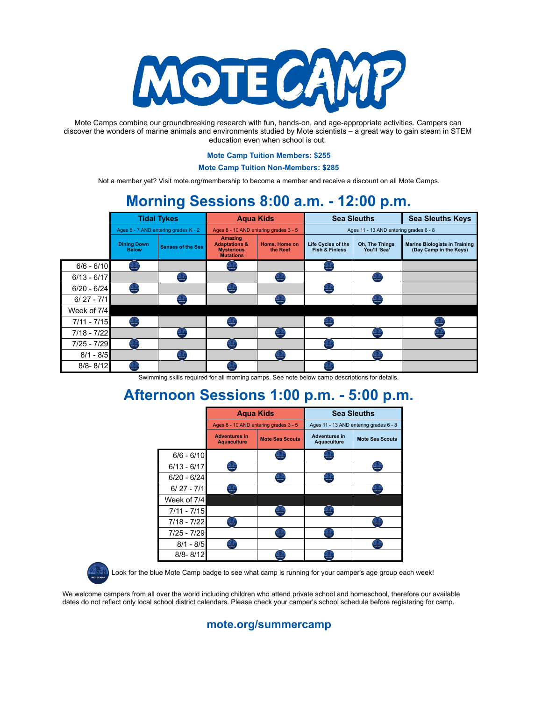

Mote Camps combine our groundbreaking research with fun, hands-on, and age-appropriate activities. Campers can discover the wonders of marine animals and environments studied by Mote scientists – a great way to gain steam in STEM education even when school is out.

#### **Mote Camp Tuition Members: \$255**

**Mote Camp Tuition Non-Members: \$285**

Not a member yet? Visit mote.org/membership to become a member and receive a discount on all Mote Camps.

# **Morning Sessions 8:00 a.m. - 12:00 p.m.**

|               | <b>Tidal Tykes</b>                   |                          | <b>Agua Kids</b>                                                                    |                           | <b>Sea Sleuths</b>                                     |                                | <b>Sea Sleuths Keys</b>                                        |
|---------------|--------------------------------------|--------------------------|-------------------------------------------------------------------------------------|---------------------------|--------------------------------------------------------|--------------------------------|----------------------------------------------------------------|
|               | Ages 5 - 7 AND entering grades K - 2 |                          | Ages 8 - 10 AND entering grades 3 - 5                                               |                           | Ages 11 - 13 AND entering grades 6 - 8                 |                                |                                                                |
|               | <b>Dining Down</b><br><b>Below</b>   | <b>Senses of the Sea</b> | <b>Amazing</b><br><b>Adaptations &amp;</b><br><b>Mysterious</b><br><b>Mutations</b> | Home, Home on<br>the Reef | <b>Life Cycles of the</b><br><b>Fish &amp; Finless</b> | Oh, The Things<br>You'll 'Sea' | <b>Marine Biologists in Training</b><br>(Day Camp in the Keys) |
| $6/6 - 6/10$  | $\frac{1}{2}$                        |                          | 23                                                                                  |                           | $\frac{1}{2}$                                          |                                |                                                                |
| $6/13 - 6/17$ |                                      |                          |                                                                                     |                           |                                                        | <b>PASSE</b>                   |                                                                |
| $6/20 - 6/24$ | <b>ANGE</b>                          |                          | <b>AND</b>                                                                          |                           | $\frac{1}{\sqrt{2}}$                                   |                                |                                                                |
| $6/27 - 7/1$  |                                      |                          |                                                                                     |                           |                                                        |                                |                                                                |
| Week of 7/4   |                                      |                          |                                                                                     |                           |                                                        |                                |                                                                |
| $7/11 - 7/15$ | $\sum_{n=1}^{\infty}$                |                          |                                                                                     |                           |                                                        |                                |                                                                |
| $7/18 - 7/22$ |                                      |                          |                                                                                     |                           |                                                        |                                |                                                                |
| $7/25 - 7/29$ | 2501                                 |                          | $\frac{1}{2}$                                                                       |                           | <b>PASSET</b>                                          |                                |                                                                |
| $8/1 - 8/5$   |                                      |                          |                                                                                     |                           |                                                        |                                |                                                                |
| $8/8 - 8/12$  |                                      |                          |                                                                                     |                           |                                                        |                                |                                                                |

Swimming skills required for all morning camps. See note below camp descriptions for details.

## **Afternoon Sessions 1:00 p.m. - 5:00 p.m.**

|               | <b>Agua Kids</b>                           |                                                 | <b>Sea Sleuths</b>                                                                                                                                                                                                                                                                                                                                                                                                                               |                        |
|---------------|--------------------------------------------|-------------------------------------------------|--------------------------------------------------------------------------------------------------------------------------------------------------------------------------------------------------------------------------------------------------------------------------------------------------------------------------------------------------------------------------------------------------------------------------------------------------|------------------------|
|               | Ages 8 - 10 AND entering grades 3 - 5      |                                                 | Ages 11 - 13 AND entering grades 6 - 8                                                                                                                                                                                                                                                                                                                                                                                                           |                        |
|               | <b>Adventures in</b><br><b>Aquaculture</b> | <b>Mote Sea Scouts</b>                          | <b>Adventures in</b><br><b>Aquaculture</b>                                                                                                                                                                                                                                                                                                                                                                                                       | <b>Mote Sea Scouts</b> |
| $6/6 - 6/10$  |                                            | $\frac{1}{2}$                                   | 医灯<br>marcuu                                                                                                                                                                                                                                                                                                                                                                                                                                     |                        |
| $6/13 - 6/17$ | $\frac{1}{2}$                              |                                                 |                                                                                                                                                                                                                                                                                                                                                                                                                                                  | $\frac{1}{\sqrt{2}}$   |
| $6/20 - 6/24$ |                                            | <b>ANGEL</b>                                    | <b>ANGEL</b>                                                                                                                                                                                                                                                                                                                                                                                                                                     |                        |
| $6/27 - 7/1$  | <b>ANGEL</b>                               |                                                 |                                                                                                                                                                                                                                                                                                                                                                                                                                                  | <b>ANS</b>             |
| Week of 7/4   |                                            |                                                 |                                                                                                                                                                                                                                                                                                                                                                                                                                                  |                        |
| $7/11 - 7/15$ |                                            | <b>ANGE</b>                                     | $\begin{array}{ c c }\hline \textbf{1} & \textbf{1} & \textbf{1} \\ \hline \textbf{1} & \textbf{1} & \textbf{1} \\ \textbf{1} & \textbf{1} & \textbf{1} \\ \hline \textbf{1} & \textbf{1} & \textbf{1} \\ \hline \textbf{1} & \textbf{1} & \textbf{1} \\ \hline \textbf{1} & \textbf{1} & \textbf{1} \\ \hline \textbf{1} & \textbf{1} & \textbf{1} \\ \hline \textbf{1} & \textbf{1} & \textbf{1} \\ \hline \textbf{1} & \textbf{1} & \textbf{$ |                        |
| 7/18 - 7/22   | <b>ANGEL</b>                               |                                                 |                                                                                                                                                                                                                                                                                                                                                                                                                                                  | $\frac{1}{2}$          |
| $7/25 - 7/29$ |                                            | $\frac{\sum_{i=1}^{n} a_i}{\sum_{i=1}^{n} a_i}$ | $\frac{\sum_{i=1}^{n} \sum_{j=1}^{n} \sum_{j=1}^{n} \sum_{j=1}^{n} \sum_{j=1}^{n} \sum_{j=1}^{n} \sum_{j=1}^{n} \sum_{j=1}^{n} \sum_{j=1}^{n} \sum_{j=1}^{n} \sum_{j=1}^{n} \sum_{j=1}^{n} \sum_{j=1}^{n} \sum_{j=1}^{n} \sum_{j=1}^{n} \sum_{j=1}^{n} \sum_{j=1}^{n} \sum_{j=1}^{n} \sum_{j=1}^{n} \sum_{j=1}^{n} \sum_{j=1}^{n} \sum_{j=1}^{$                                                                                                  |                        |
| $8/1 - 8/5$   | 2531                                       |                                                 |                                                                                                                                                                                                                                                                                                                                                                                                                                                  | <b>ANGE</b>            |
| $8/8 - 8/12$  |                                            | $\frac{1}{2}$                                   | $\frac{1}{2}$                                                                                                                                                                                                                                                                                                                                                                                                                                    |                        |



Look for the blue Mote Camp badge to see what camp is running for your camper's age group each week!

We welcome campers from all over the world including children who attend private school and homeschool, therefore our available dates do not reflect only local school district calendars. Please check your camper's school schedule before registering for camp.

### **mote.org/summercamp**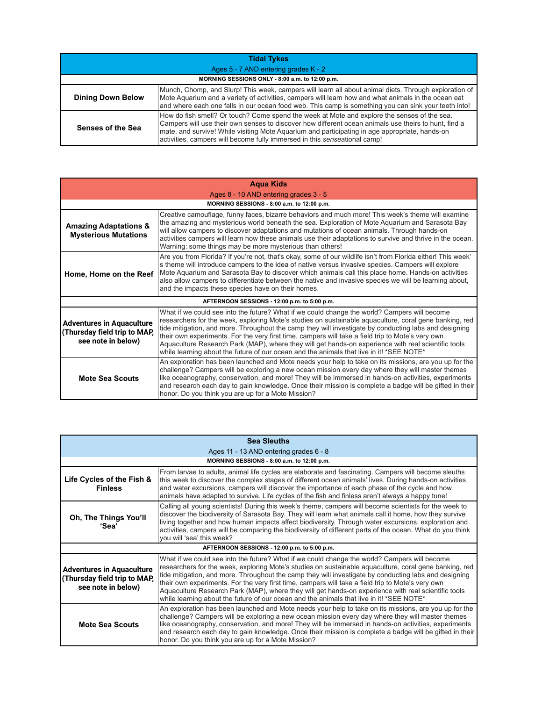| <b>Tidal Tykes</b>                              |                                                                                                                                                                                                                                                                                                                                                                                    |  |
|-------------------------------------------------|------------------------------------------------------------------------------------------------------------------------------------------------------------------------------------------------------------------------------------------------------------------------------------------------------------------------------------------------------------------------------------|--|
| Ages 5 - 7 AND entering grades K - 2            |                                                                                                                                                                                                                                                                                                                                                                                    |  |
| MORNING SESSIONS ONLY - 8:00 a.m. to 12:00 p.m. |                                                                                                                                                                                                                                                                                                                                                                                    |  |
| <b>Dining Down Below</b>                        | Munch, Chomp, and Slurp! This week, campers will learn all about animal diets. Through exploration of<br>Mote Aquarium and a variety of activities, campers will learn how and what animals in the ocean eat<br>and where each one falls in our ocean food web. This camp is something you can sink your teeth into!                                                               |  |
| Senses of the Sea                               | How do fish smell? Or touch? Come spend the week at Mote and explore the senses of the sea.<br>Campers will use their own senses to discover how different ocean animals use theirs to hunt, find a<br>mate, and survive! While visiting Mote Aquarium and participating in age appropriate, hands-on<br>activities, campers will become fully immersed in this senseational camp! |  |

| <b>Agua Kids</b>                                                                       |                                                                                                                                                                                                                                                                                                                                                                                                                                                                                                                                                                                                                         |  |  |
|----------------------------------------------------------------------------------------|-------------------------------------------------------------------------------------------------------------------------------------------------------------------------------------------------------------------------------------------------------------------------------------------------------------------------------------------------------------------------------------------------------------------------------------------------------------------------------------------------------------------------------------------------------------------------------------------------------------------------|--|--|
| Ages 8 - 10 AND entering grades 3 - 5                                                  |                                                                                                                                                                                                                                                                                                                                                                                                                                                                                                                                                                                                                         |  |  |
| MORNING SESSIONS - 8:00 a.m. to 12:00 p.m.                                             |                                                                                                                                                                                                                                                                                                                                                                                                                                                                                                                                                                                                                         |  |  |
| <b>Amazing Adaptations &amp;</b><br><b>Mysterious Mutations</b>                        | Creative camouflage, funny faces, bizarre behaviors and much more! This week's theme will examine<br>the amazing and mysterious world beneath the sea. Exploration of Mote Aquarium and Sarasota Bay<br>will allow campers to discover adaptations and mutations of ocean animals. Through hands-on<br>activities campers will learn how these animals use their adaptations to survive and thrive in the ocean.<br>Warning: some things may be more mysterious than others!                                                                                                                                            |  |  |
| Home, Home on the Reef                                                                 | Are you from Florida? If you're not, that's okay, some of our wildlife isn't from Florida either! This week'<br>s theme will introduce campers to the idea of native versus invasive species. Campers will explore<br>Mote Aquarium and Sarasota Bay to discover which animals call this place home. Hands-on activities<br>also allow campers to differentiate between the native and invasive species we will be learning about,<br>and the impacts these species have on their homes.                                                                                                                                |  |  |
| AFTERNOON SESSIONS - 12:00 p.m. to 5:00 p.m.                                           |                                                                                                                                                                                                                                                                                                                                                                                                                                                                                                                                                                                                                         |  |  |
| <b>Adventures in Aquaculture</b><br>(Thursday field trip to MAP,<br>see note in below) | What if we could see into the future? What if we could change the world? Campers will become<br>researchers for the week, exploring Mote's studies on sustainable aquaculture, coral gene banking, red<br>tide mitigation, and more. Throughout the camp they will investigate by conducting labs and designing<br>their own experiments. For the very first time, campers will take a field trip to Mote's very own<br>Aquaculture Research Park (MAP), where they will get hands-on experience with real scientific tools<br>while learning about the future of our ocean and the animals that live in it! *SEE NOTE* |  |  |
| Mote Sea Scouts                                                                        | An exploration has been launched and Mote needs your help to take on its missions, are you up for the<br>challenge? Campers will be exploring a new ocean mission every day where they will master themes<br>like oceanography, conservation, and more! They will be immersed in hands-on activities, experiments<br>and research each day to gain knowledge. Once their mission is complete a badge will be gifted in their<br>honor. Do you think you are up for a Mote Mission?                                                                                                                                      |  |  |

| <b>Sea Sleuths</b>                                                                     |                                                                                                                                                                                                                                                                                                                                                                                                                                                                                                                                                                                                                         |  |
|----------------------------------------------------------------------------------------|-------------------------------------------------------------------------------------------------------------------------------------------------------------------------------------------------------------------------------------------------------------------------------------------------------------------------------------------------------------------------------------------------------------------------------------------------------------------------------------------------------------------------------------------------------------------------------------------------------------------------|--|
| Ages 11 - 13 AND entering grades 6 - 8                                                 |                                                                                                                                                                                                                                                                                                                                                                                                                                                                                                                                                                                                                         |  |
| MORNING SESSIONS - 8:00 a.m. to 12:00 p.m.                                             |                                                                                                                                                                                                                                                                                                                                                                                                                                                                                                                                                                                                                         |  |
| Life Cycles of the Fish &<br><b>Finless</b>                                            | From larvae to adults, animal life cycles are elaborate and fascinating. Campers will become sleuths<br>this week to discover the complex stages of different ocean animals' lives. During hands-on activities<br>and water excursions, campers will discover the importance of each phase of the cycle and how<br>animals have adapted to survive. Life cycles of the fish and finless aren't always a happy tune!                                                                                                                                                                                                     |  |
| Oh, The Things You'll<br>ʻSea'                                                         | Calling all young scientists! During this week's theme, campers will become scientists for the week to<br>discover the biodiversity of Sarasota Bay. They will learn what animals call it home, how they survive<br>living together and how human impacts affect biodiversity. Through water excursions, exploration and<br>activities, campers will be comparing the biodiversity of different parts of the ocean. What do you think<br>you will 'sea' this week?                                                                                                                                                      |  |
| AFTERNOON SESSIONS - 12:00 p.m. to 5:00 p.m.                                           |                                                                                                                                                                                                                                                                                                                                                                                                                                                                                                                                                                                                                         |  |
| <b>Adventures in Aquaculture</b><br>(Thursday field trip to MAP,<br>see note in below) | What if we could see into the future? What if we could change the world? Campers will become<br>researchers for the week, exploring Mote's studies on sustainable aquaculture, coral gene banking, red<br>tide mitigation, and more. Throughout the camp they will investigate by conducting labs and designing<br>their own experiments. For the very first time, campers will take a field trip to Mote's very own<br>Aquaculture Research Park (MAP), where they will get hands-on experience with real scientific tools<br>while learning about the future of our ocean and the animals that live in it! *SEE NOTE* |  |
| Mote Sea Scouts                                                                        | An exploration has been launched and Mote needs your help to take on its missions, are you up for the<br>challenge? Campers will be exploring a new ocean mission every day where they will master themes<br>like oceanography, conservation, and more! They will be immersed in hands-on activities, experiments<br>and research each day to gain knowledge. Once their mission is complete a badge will be gifted in their<br>honor. Do you think you are up for a Mote Mission?                                                                                                                                      |  |